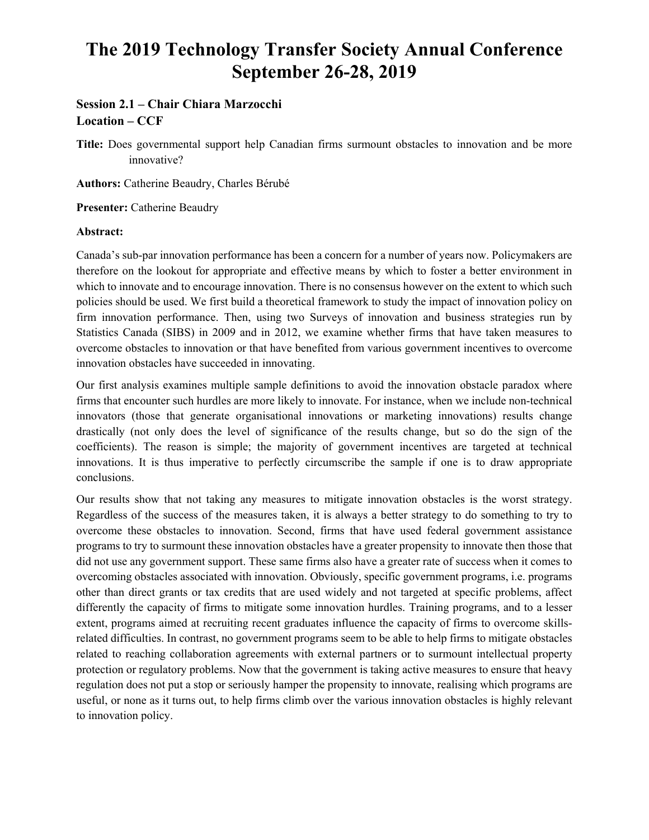# **The 2019 Technology Transfer Society Annual Conference September 26-28, 2019**

# **Session 2.1 – Chair Chiara Marzocchi Location – CCF**

**Title:** Does governmental support help Canadian firms surmount obstacles to innovation and be more innovative?

**Authors:** Catherine Beaudry, Charles Bérubé

**Presenter:** Catherine Beaudry

#### **Abstract:**

Canada's sub-par innovation performance has been a concern for a number of years now. Policymakers are therefore on the lookout for appropriate and effective means by which to foster a better environment in which to innovate and to encourage innovation. There is no consensus however on the extent to which such policies should be used. We first build a theoretical framework to study the impact of innovation policy on firm innovation performance. Then, using two Surveys of innovation and business strategies run by Statistics Canada (SIBS) in 2009 and in 2012, we examine whether firms that have taken measures to overcome obstacles to innovation or that have benefited from various government incentives to overcome innovation obstacles have succeeded in innovating.

Our first analysis examines multiple sample definitions to avoid the innovation obstacle paradox where firms that encounter such hurdles are more likely to innovate. For instance, when we include non-technical innovators (those that generate organisational innovations or marketing innovations) results change drastically (not only does the level of significance of the results change, but so do the sign of the coefficients). The reason is simple; the majority of government incentives are targeted at technical innovations. It is thus imperative to perfectly circumscribe the sample if one is to draw appropriate conclusions.

Our results show that not taking any measures to mitigate innovation obstacles is the worst strategy. Regardless of the success of the measures taken, it is always a better strategy to do something to try to overcome these obstacles to innovation. Second, firms that have used federal government assistance programs to try to surmount these innovation obstacles have a greater propensity to innovate then those that did not use any government support. These same firms also have a greater rate of success when it comes to overcoming obstacles associated with innovation. Obviously, specific government programs, i.e. programs other than direct grants or tax credits that are used widely and not targeted at specific problems, affect differently the capacity of firms to mitigate some innovation hurdles. Training programs, and to a lesser extent, programs aimed at recruiting recent graduates influence the capacity of firms to overcome skillsrelated difficulties. In contrast, no government programs seem to be able to help firms to mitigate obstacles related to reaching collaboration agreements with external partners or to surmount intellectual property protection or regulatory problems. Now that the government is taking active measures to ensure that heavy regulation does not put a stop or seriously hamper the propensity to innovate, realising which programs are useful, or none as it turns out, to help firms climb over the various innovation obstacles is highly relevant to innovation policy.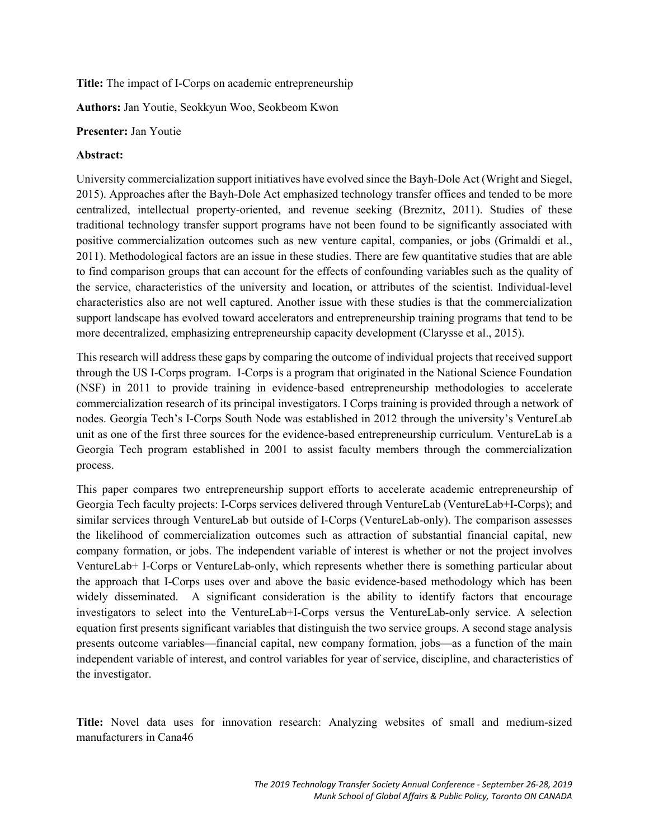**Title:** The impact of I-Corps on academic entrepreneurship

**Authors:** Jan Youtie, Seokkyun Woo, Seokbeom Kwon

#### **Presenter:** Jan Youtie

### **Abstract:**

University commercialization support initiatives have evolved since the Bayh-Dole Act (Wright and Siegel, 2015). Approaches after the Bayh-Dole Act emphasized technology transfer offices and tended to be more centralized, intellectual property-oriented, and revenue seeking (Breznitz, 2011). Studies of these traditional technology transfer support programs have not been found to be significantly associated with positive commercialization outcomes such as new venture capital, companies, or jobs (Grimaldi et al., 2011). Methodological factors are an issue in these studies. There are few quantitative studies that are able to find comparison groups that can account for the effects of confounding variables such as the quality of the service, characteristics of the university and location, or attributes of the scientist. Individual-level characteristics also are not well captured. Another issue with these studies is that the commercialization support landscape has evolved toward accelerators and entrepreneurship training programs that tend to be more decentralized, emphasizing entrepreneurship capacity development (Clarysse et al., 2015).

This research will address these gaps by comparing the outcome of individual projects that received support through the US I-Corps program. I-Corps is a program that originated in the National Science Foundation (NSF) in 2011 to provide training in evidence-based entrepreneurship methodologies to accelerate commercialization research of its principal investigators. I Corps training is provided through a network of nodes. Georgia Tech's I-Corps South Node was established in 2012 through the university's VentureLab unit as one of the first three sources for the evidence-based entrepreneurship curriculum. VentureLab is a Georgia Tech program established in 2001 to assist faculty members through the commercialization process.

This paper compares two entrepreneurship support efforts to accelerate academic entrepreneurship of Georgia Tech faculty projects: I-Corps services delivered through VentureLab (VentureLab+I-Corps); and similar services through VentureLab but outside of I-Corps (VentureLab-only). The comparison assesses the likelihood of commercialization outcomes such as attraction of substantial financial capital, new company formation, or jobs. The independent variable of interest is whether or not the project involves VentureLab+ I-Corps or VentureLab-only, which represents whether there is something particular about the approach that I-Corps uses over and above the basic evidence-based methodology which has been widely disseminated. A significant consideration is the ability to identify factors that encourage investigators to select into the VentureLab+I-Corps versus the VentureLab-only service. A selection equation first presents significant variables that distinguish the two service groups. A second stage analysis presents outcome variables—financial capital, new company formation, jobs—as a function of the main independent variable of interest, and control variables for year of service, discipline, and characteristics of the investigator.

**Title:** Novel data uses for innovation research: Analyzing websites of small and medium-sized manufacturers in Cana46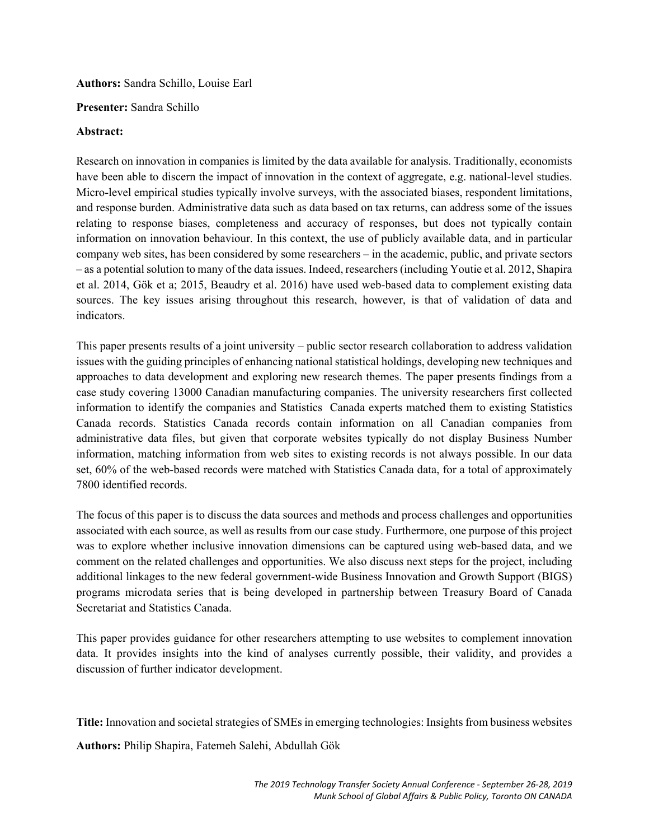**Authors:** Sandra Schillo, Louise Earl

## **Presenter:** Sandra Schillo

### **Abstract:**

Research on innovation in companies is limited by the data available for analysis. Traditionally, economists have been able to discern the impact of innovation in the context of aggregate, e.g. national-level studies. Micro-level empirical studies typically involve surveys, with the associated biases, respondent limitations, and response burden. Administrative data such as data based on tax returns, can address some of the issues relating to response biases, completeness and accuracy of responses, but does not typically contain information on innovation behaviour. In this context, the use of publicly available data, and in particular company web sites, has been considered by some researchers – in the academic, public, and private sectors – as a potential solution to many of the data issues. Indeed, researchers (including Youtie et al. 2012, Shapira et al. 2014, Gök et a; 2015, Beaudry et al. 2016) have used web-based data to complement existing data sources. The key issues arising throughout this research, however, is that of validation of data and indicators.

This paper presents results of a joint university – public sector research collaboration to address validation issues with the guiding principles of enhancing national statistical holdings, developing new techniques and approaches to data development and exploring new research themes. The paper presents findings from a case study covering 13000 Canadian manufacturing companies. The university researchers first collected information to identify the companies and Statistics Canada experts matched them to existing Statistics Canada records. Statistics Canada records contain information on all Canadian companies from administrative data files, but given that corporate websites typically do not display Business Number information, matching information from web sites to existing records is not always possible. In our data set, 60% of the web-based records were matched with Statistics Canada data, for a total of approximately 7800 identified records.

The focus of this paper is to discuss the data sources and methods and process challenges and opportunities associated with each source, as well as results from our case study. Furthermore, one purpose of this project was to explore whether inclusive innovation dimensions can be captured using web-based data, and we comment on the related challenges and opportunities. We also discuss next steps for the project, including additional linkages to the new federal government-wide Business Innovation and Growth Support (BIGS) programs microdata series that is being developed in partnership between Treasury Board of Canada Secretariat and Statistics Canada.

This paper provides guidance for other researchers attempting to use websites to complement innovation data. It provides insights into the kind of analyses currently possible, their validity, and provides a discussion of further indicator development.

**Title:** Innovation and societal strategies of SMEs in emerging technologies: Insights from business websites

**Authors:** Philip Shapira, Fatemeh Salehi, Abdullah Gök